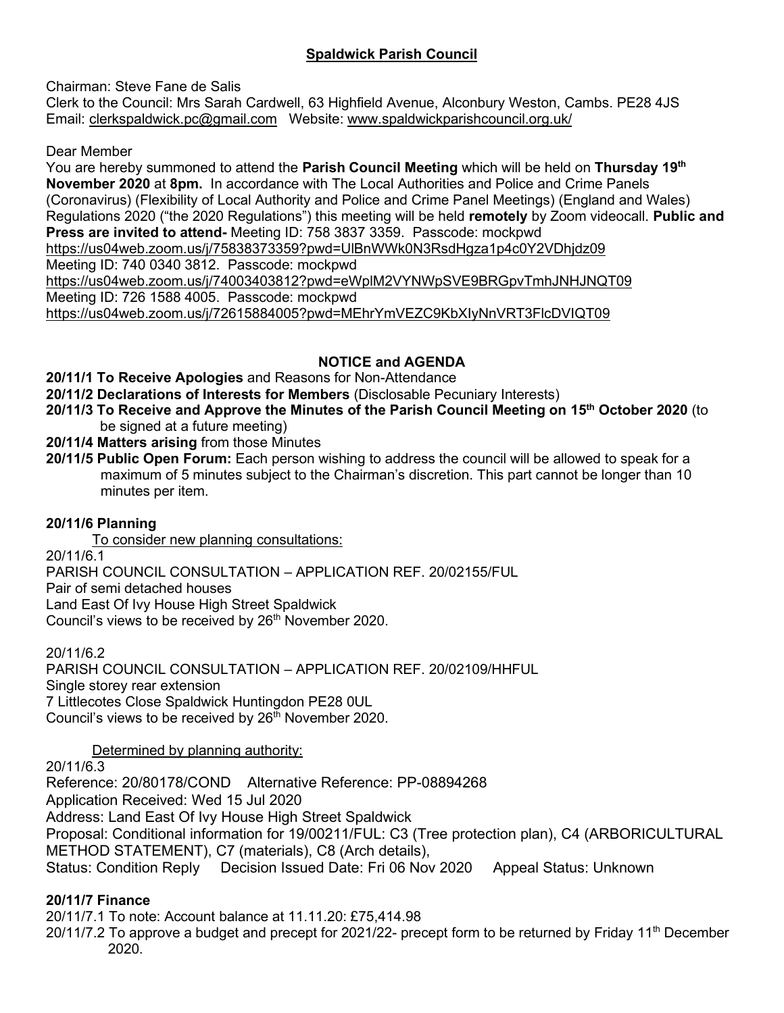# **Spaldwick Parish Council**

Chairman: Steve Fane de Salis

Clerk to the Council: Mrs Sarah Cardwell, 63 Highfield Avenue, Alconbury Weston, Cambs. PE28 4JS Email: [clerkspaldwick.pc@gmail.com](mailto:clerkspaldwick.pc@gmail.com) Website: [www.spaldwickparishcouncil.org.uk/](http://www.spaldwickparishcouncil.org.uk/)

Dear Member

You are hereby summoned to attend the **Parish Council Meeting** which will be held on **Thursday 19 th November 2020** at **8pm.** In accordance with The Local Authorities and Police and Crime Panels (Coronavirus) (Flexibility of Local Authority and Police and Crime Panel Meetings) (England and Wales) Regulations 2020 ("the 2020 Regulations") this meeting will be held **remotely** by Zoom videocall. **Public and Press are invited to attend-** Meeting ID: 758 3837 3359. Passcode: mockpwd <https://us04web.zoom.us/j/75838373359?pwd=UlBnWWk0N3RsdHgza1p4c0Y2VDhjdz09> Meeting ID: 740 0340 3812. Passcode: mockpwd <https://us04web.zoom.us/j/74003403812?pwd=eWplM2VYNWpSVE9BRGpvTmhJNHJNQT09> Meeting ID: 726 1588 4005. Passcode: mockpwd <https://us04web.zoom.us/j/72615884005?pwd=MEhrYmVEZC9KbXIyNnVRT3FlcDVIQT09>

# **NOTICE and AGENDA**

**20/11/1 To Receive Apologies** and Reasons for Non-Attendance

**20/11/2 Declarations of Interests for Members** (Disclosable Pecuniary Interests)

- **20/11/3 To Receive and Approve the Minutes of the Parish Council Meeting on 15 th October 2020** (to be signed at a future meeting)
- **20/11/4 Matters arising** from those Minutes
- **20/11/5 Public Open Forum:** Each person wishing to address the council will be allowed to speak for a maximum of 5 minutes subject to the Chairman's discretion. This part cannot be longer than 10 minutes per item.

# **20/11/6 Planning**

To consider new planning consultations:

20/11/6.1

PARISH COUNCIL CONSULTATION – APPLICATION REF. 20/02155/FUL

Pair of semi detached houses

Land East Of Ivy House High Street Spaldwick

Council's views to be received by 26<sup>th</sup> November 2020.

20/11/6.2 PARISH COUNCIL CONSULTATION – APPLICATION REF. 20/02109/HHFUL Single storey rear extension 7 Littlecotes Close Spaldwick Huntingdon PE28 0UL Council's views to be received by  $26<sup>th</sup>$  November 2020.

# Determined by planning authority:

20/11/6.3

Reference: 20/80178/COND Alternative Reference: PP-08894268 Application Received: Wed 15 Jul 2020 Address: Land East Of Ivy House High Street Spaldwick Proposal: Conditional information for 19/00211/FUL: C3 (Tree protection plan), C4 (ARBORICULTURAL METHOD STATEMENT), C7 (materials), C8 (Arch details), Status: Condition Reply Decision Issued Date: Fri 06 Nov 2020 Appeal Status: Unknown

# **20/11/7 Finance**

20/11/7.1 To note: Account balance at 11.11.20: £75,414.98

20/11/7.2 To approve a budget and precept for 2021/22- precept form to be returned by Friday 11<sup>th</sup> December 2020.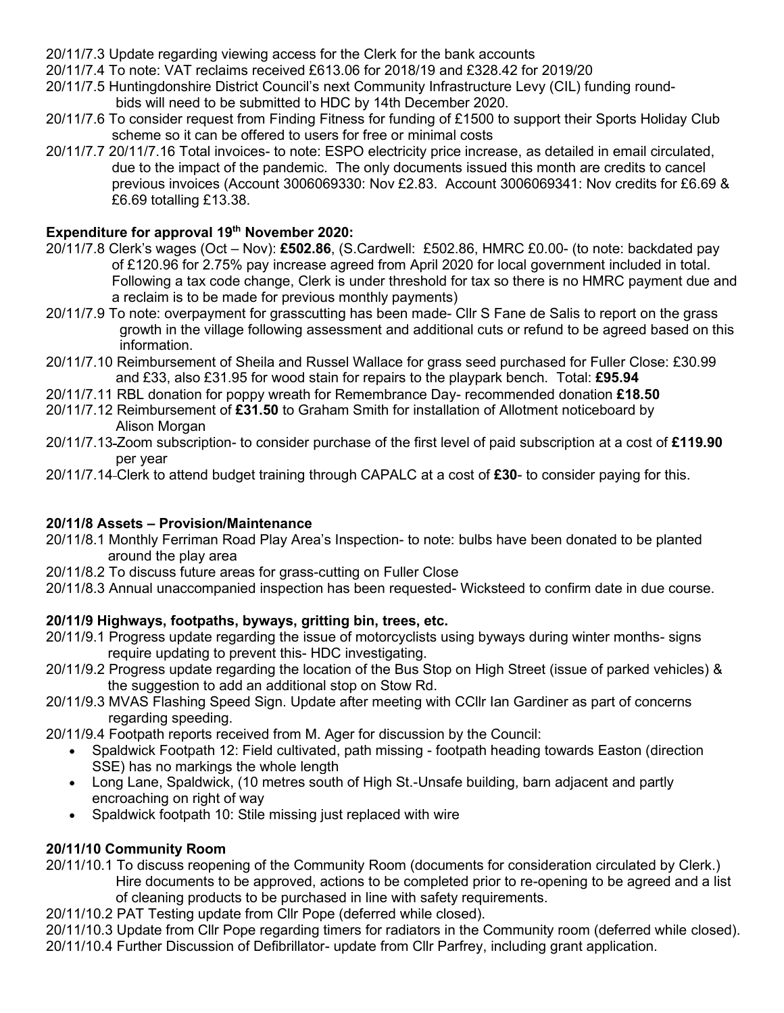- 20/11/7.3 Update regarding viewing access for the Clerk for the bank accounts
- 20/11/7.4 To note: VAT reclaims received £613.06 for 2018/19 and £328.42 for 2019/20
- 20/11/7.5 Huntingdonshire District Council's next Community Infrastructure Levy (CIL) funding round bids will need to be submitted to HDC by 14th December 2020.
- 20/11/7.6 To consider request from Finding Fitness for funding of £1500 to support their Sports Holiday Club scheme so it can be offered to users for free or minimal costs
- 20/11/7.7 20/11/7.16 Total invoices- to note: ESPO electricity price increase, as detailed in email circulated, due to the impact of the pandemic. The only documents issued this month are credits to cancel previous invoices (Account 3006069330: Nov £2.83. Account 3006069341: Nov credits for £6.69 & £6.69 totalling £13.38.

### **Expenditure for approval 19 th November 2020:**

- 20/11/7.8 Clerk's wages (Oct Nov): **£502.86**, (S.Cardwell: £502.86, HMRC £0.00- (to note: backdated pay of £120.96 for 2.75% pay increase agreed from April 2020 for local government included in total. Following a tax code change, Clerk is under threshold for tax so there is no HMRC payment due and a reclaim is to be made for previous monthly payments)
- 20/11/7.9 To note: overpayment for grasscutting has been made- Cllr S Fane de Salis to report on the grass growth in the village following assessment and additional cuts or refund to be agreed based on this information.
- 20/11/7.10 Reimbursement of Sheila and Russel Wallace for grass seed purchased for Fuller Close: £30.99 and £33, also £31.95 for wood stain for repairs to the playpark bench. Total: **£95.94**
- 20/11/7.11 RBL donation for poppy wreath for Remembrance Day- recommended donation **£18.50**
- 20/11/7.12 Reimbursement of **£31.50** to Graham Smith for installation of Allotment noticeboard by Alison Morgan
- 20/11/7.13 Zoom subscription- to consider purchase of the first level of paid subscription at a cost of **£119.90** per year
- 20/11/7.14 Clerk to attend budget training through CAPALC at a cost of **£30** to consider paying for this.

# **20/11/8 Assets – Provision/Maintenance**

- 20/11/8.1 Monthly Ferriman Road Play Area's Inspection- to note: bulbs have been donated to be planted around the play area
- 20/11/8.2 To discuss future areas for grass-cutting on Fuller Close
- 20/11/8.3 Annual unaccompanied inspection has been requested- Wicksteed to confirm date in due course.

# **20/11/9 Highways, footpaths, byways, gritting bin, trees, etc.**

- 20/11/9.1 Progress update regarding the issue of motorcyclists using byways during winter months- signs require updating to prevent this- HDC investigating.
- 20/11/9.2 Progress update regarding the location of the Bus Stop on High Street (issue of parked vehicles) & the suggestion to add an additional stop on Stow Rd.
- 20/11/9.3 MVAS Flashing Speed Sign. Update after meeting with CCllr Ian Gardiner as part of concerns regarding speeding.
- 20/11/9.4 Footpath reports received from M. Ager for discussion by the Council:
	- Spaldwick Footpath 12: Field cultivated, path missing footpath heading towards Easton (direction SSE) has no markings the whole length
	- Long Lane, Spaldwick, (10 metres south of High St.-Unsafe building, barn adjacent and partly encroaching on right of way
	- Spaldwick footpath 10: Stile missing just replaced with wire

#### **20/11/10 Community Room**

20/11/10.1 To discuss reopening of the Community Room (documents for consideration circulated by Clerk.) Hire documents to be approved, actions to be completed prior to re-opening to be agreed and a list of cleaning products to be purchased in line with safety requirements.

20/11/10.2 PAT Testing update from Cllr Pope (deferred while closed).

20/11/10.3 Update from Cllr Pope regarding timers for radiators in the Community room (deferred while closed). 20/11/10.4 Further Discussion of Defibrillator- update from Cllr Parfrey, including grant application.